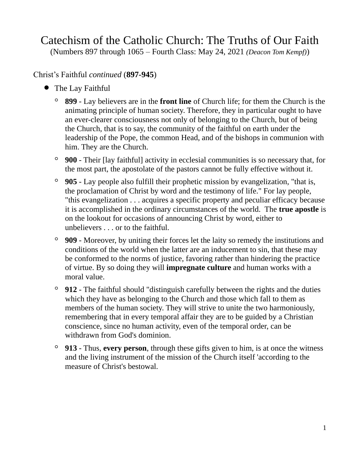# Catechism of the Catholic Church: The Truths of Our Faith

(Numbers 897 through 1065 – Fourth Class: May 24, 2021 *(Deacon Tom Kempf)*)

#### Christ's Faithful *continued* (**897-945**)

- The Lay Faithful
	- **<sup>899</sup>** Lay believers are in the **front line** of Church life; for them the Church is the animating principle of human society. Therefore, they in particular ought to have an ever-clearer consciousness not only of belonging to the Church, but of being the Church, that is to say, the community of the faithful on earth under the leadership of the Pope, the common Head, and of the bishops in communion with him. They are the Church.
	- **<sup>900</sup>** Their [lay faithful] activity in ecclesial communities is so necessary that, for the most part, the apostolate of the pastors cannot be fully effective without it.
	- **<sup>905</sup>** Lay people also fulfill their prophetic mission by evangelization, "that is, the proclamation of Christ by word and the testimony of life." For lay people, "this evangelization . . . acquires a specific property and peculiar efficacy because it is accomplished in the ordinary circumstances of the world. The **true apostle** is on the lookout for occasions of announcing Christ by word, either to unbelievers . . . or to the faithful.
	- **<sup>909</sup>** Moreover, by uniting their forces let the laity so remedy the institutions and conditions of the world when the latter are an inducement to sin, that these may be conformed to the norms of justice, favoring rather than hindering the practice of virtue. By so doing they will **impregnate culture** and human works with a moral value.
	- **<sup>912</sup>** The faithful should "distinguish carefully between the rights and the duties which they have as belonging to the Church and those which fall to them as members of the human society. They will strive to unite the two harmoniously, remembering that in every temporal affair they are to be guided by a Christian conscience, since no human activity, even of the temporal order, can be withdrawn from God's dominion.
	- **<sup>913</sup>** Thus, **every person**, through these gifts given to him, is at once the witness and the living instrument of the mission of the Church itself 'according to the measure of Christ's bestowal.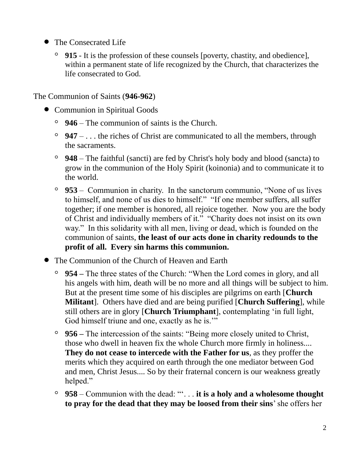- The Consecrated Life
	- **<sup>915</sup>** It is the profession of these counsels [poverty, chastity, and obedience], within a permanent state of life recognized by the Church, that characterizes the life consecrated to God.

The Communion of Saints (**946-962**)

- Communion in Spiritual Goods
	- **<sup>946</sup>** The communion of saints is the Church.
	- **<sup>947</sup>** . . . the riches of Christ are communicated to all the members, through the sacraments.
	- **<sup>948</sup>** The faithful (sancti) are fed by Christ's holy body and blood (sancta) to grow in the communion of the Holy Spirit (koinonia) and to communicate it to the world.
	- **<sup>953</sup>** Communion in charity. In the sanctorum communio, "None of us lives to himself, and none of us dies to himself." "If one member suffers, all suffer together; if one member is honored, all rejoice together. Now you are the body of Christ and individually members of it." "Charity does not insist on its own way." In this solidarity with all men, living or dead, which is founded on the communion of saints, **the least of our acts done in charity redounds to the profit of all. Every sin harms this communion.**
- The Communion of the Church of Heaven and Earth
	- **954 –** The three states of the Church: "When the Lord comes in glory, and all his angels with him, death will be no more and all things will be subject to him. But at the present time some of his disciples are pilgrims on earth [**Church Militant**]. Others have died and are being purified [**Church Suffering**], while still others are in glory [**Church Triumphant**], contemplating 'in full light, God himself triune and one, exactly as he is."
	- **956 –** The intercession of the saints: "Being more closely united to Christ, those who dwell in heaven fix the whole Church more firmly in holiness.... **They do not cease to intercede with the Father for us**, as they proffer the merits which they acquired on earth through the one mediator between God and men, Christ Jesus.... So by their fraternal concern is our weakness greatly helped."
	- **<sup>958</sup>** Communion with the dead: "'. . . **it is a holy and a wholesome thought to pray for the dead that they may be loosed from their sins**' she offers her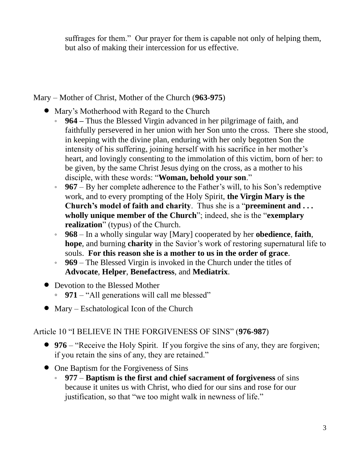suffrages for them." Our prayer for them is capable not only of helping them, but also of making their intercession for us effective.

Mary – Mother of Christ, Mother of the Church (**963-975**)

- Mary's Motherhood with Regard to the Church
	- **964 –** Thus the Blessed Virgin advanced in her pilgrimage of faith, and faithfully persevered in her union with her Son unto the cross. There she stood, in keeping with the divine plan, enduring with her only begotten Son the intensity of his suffering, joining herself with his sacrifice in her mother's heart, and lovingly consenting to the immolation of this victim, born of her: to be given, by the same Christ Jesus dying on the cross, as a mother to his disciple, with these words: "**Woman, behold your son**."
	- **967** By her complete adherence to the Father's will, to his Son's redemptive work, and to every prompting of the Holy Spirit, **the Virgin Mary is the Church's model of faith and charity**. Thus she is a "**preeminent and . . . wholly unique member of the Church**"; indeed, she is the "**exemplary realization**" (typus) of the Church.
	- **968** In a wholly singular way [Mary] cooperated by her **obedience**, **faith**, **hope**, and burning **charity** in the Savior's work of restoring supernatural life to souls. **For this reason she is a mother to us in the order of grace**.
	- **969** The Blessed Virgin is invoked in the Church under the titles of **Advocate**, **Helper**, **Benefactress**, and **Mediatrix**.
- Devotion to the Blessed Mother
	- **971** "All generations will call me blessed"
- Mary Eschatological Icon of the Church

## Article 10 "I BELIEVE IN THE FORGIVENESS OF SINS" (**976-987**)

- **<sup>976</sup>** "Receive the Holy Spirit. If you forgive the sins of any, they are forgiven; if you retain the sins of any, they are retained."
- One Baptism for the Forgiveness of Sins
	- **977 Baptism is the first and chief sacrament of forgiveness** of sins because it unites us with Christ, who died for our sins and rose for our justification, so that "we too might walk in newness of life."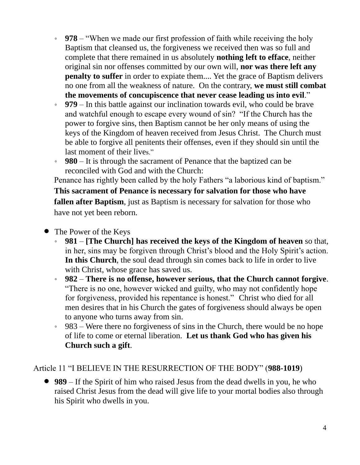- **978** "When we made our first profession of faith while receiving the holy Baptism that cleansed us, the forgiveness we received then was so full and complete that there remained in us absolutely **nothing left to efface**, neither original sin nor offenses committed by our own will, **nor was there left any penalty to suffer** in order to expiate them.... Yet the grace of Baptism delivers no one from all the weakness of nature. On the contrary, **we must still combat the movements of concupiscence that never cease leading us into evil**."
- **979** In this battle against our inclination towards evil, who could be brave and watchful enough to escape every wound of sin? "If the Church has the power to forgive sins, then Baptism cannot be her only means of using the keys of the Kingdom of heaven received from Jesus Christ. The Church must be able to forgive all penitents their offenses, even if they should sin until the last moment of their lives."
- **980** It is through the sacrament of Penance that the baptized can be reconciled with God and with the Church:

Penance has rightly been called by the holy Fathers "a laborious kind of baptism." **This sacrament of Penance is necessary for salvation for those who have fallen after Baptism**, just as Baptism is necessary for salvation for those who have not yet been reborn.

- The Power of the Keys
	- **981 [The Church] has received the keys of the Kingdom of heaven** so that, in her, sins may be forgiven through Christ's blood and the Holy Spirit's action. **In this Church**, the soul dead through sin comes back to life in order to live with Christ, whose grace has saved us.
	- **982 There is no offense, however serious, that the Church cannot forgive**. "There is no one, however wicked and guilty, who may not confidently hope for forgiveness, provided his repentance is honest." Christ who died for all men desires that in his Church the gates of forgiveness should always be open to anyone who turns away from sin.
	- $\degree$  983 Were there no forgiveness of sins in the Church, there would be no hope of life to come or eternal liberation. **Let us thank God who has given his Church such a gift**.

#### Article 11 "I BELIEVE IN THE RESURRECTION OF THE BODY" (**988-1019**)

• **<sup>989</sup>** – If the Spirit of him who raised Jesus from the dead dwells in you, he who raised Christ Jesus from the dead will give life to your mortal bodies also through his Spirit who dwells in you.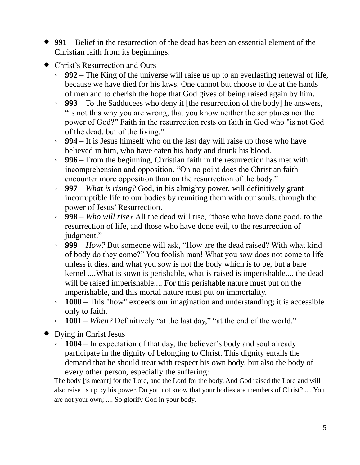- **<sup>991</sup>** Belief in the resurrection of the dead has been an essential element of the Christian faith from its beginnings.
- Christ's Resurrection and Ours
	- **992** The King of the universe will raise us up to an everlasting renewal of life, because we have died for his laws. One cannot but choose to die at the hands of men and to cherish the hope that God gives of being raised again by him.
	- **993** To the Sadducees who deny it [the resurrection of the body] he answers, "Is not this why you are wrong, that you know neither the scriptures nor the power of God?" Faith in the resurrection rests on faith in God who "is not God of the dead, but of the living."
	- **994** It is Jesus himself who on the last day will raise up those who have believed in him, who have eaten his body and drunk his blood.
	- **996** From the beginning, Christian faith in the resurrection has met with incomprehension and opposition. "On no point does the Christian faith encounter more opposition than on the resurrection of the body."
	- **997** *What is rising?* God, in his almighty power, will definitively grant incorruptible life to our bodies by reuniting them with our souls, through the power of Jesus' Resurrection.
	- **998** *Who will rise?* All the dead will rise, "those who have done good, to the resurrection of life, and those who have done evil, to the resurrection of judgment."
	- **999** *How?* But someone will ask, "How are the dead raised? With what kind of body do they come?" You foolish man! What you sow does not come to life unless it dies. and what you sow is not the body which is to be, but a bare kernel ....What is sown is perishable, what is raised is imperishable.... the dead will be raised imperishable.... For this perishable nature must put on the imperishable, and this mortal nature must put on immortality.
	- **1000** This "how" exceeds our imagination and understanding; it is accessible only to faith.
	- **1001** *When?* Definitively "at the last day," "at the end of the world."
- Dying in Christ Jesus
	- **1004** In expectation of that day, the believer's body and soul already participate in the dignity of belonging to Christ. This dignity entails the demand that he should treat with respect his own body, but also the body of every other person, especially the suffering:

The body [is meant] for the Lord, and the Lord for the body. And God raised the Lord and will also raise us up by his power. Do you not know that your bodies are members of Christ? .... You are not your own; .... So glorify God in your body.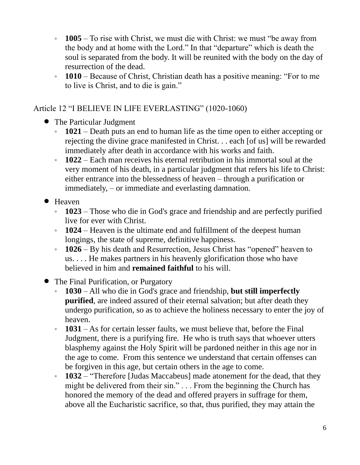- **1005** To rise with Christ, we must die with Christ: we must "be away from the body and at home with the Lord." In that "departure" which is death the soul is separated from the body. It will be reunited with the body on the day of resurrection of the dead.
- **1010** Because of Christ, Christian death has a positive meaning: "For to me to live is Christ, and to die is gain."

#### Article 12 "I BELIEVE IN LIFE EVERLASTING" (1020-1060)

- The Particular Judgment
	- **1021** Death puts an end to human life as the time open to either accepting or rejecting the divine grace manifested in Christ. . . each [of us] will be rewarded immediately after death in accordance with his works and faith.
	- **1022** Each man receives his eternal retribution in his immortal soul at the very moment of his death, in a particular judgment that refers his life to Christ: either entrance into the blessedness of heaven – through a purification or immediately, – or immediate and everlasting damnation.
- Heaven
	- **1023** Those who die in God's grace and friendship and are perfectly purified live for ever with Christ.
	- **1024** Heaven is the ultimate end and fulfillment of the deepest human longings, the state of supreme, definitive happiness.
	- **1026** By his death and Resurrection, Jesus Christ has "opened" heaven to us. . . . He makes partners in his heavenly glorification those who have believed in him and **remained faithful** to his will.
- The Final Purification, or Purgatory
	- **1030** All who die in God's grace and friendship, **but still imperfectly purified**, are indeed assured of their eternal salvation; but after death they undergo purification, so as to achieve the holiness necessary to enter the joy of heaven.
	- **1031** As for certain lesser faults, we must believe that, before the Final Judgment, there is a purifying fire. He who is truth says that whoever utters blasphemy against the Holy Spirit will be pardoned neither in this age nor in the age to come. From this sentence we understand that certain offenses can be forgiven in this age, but certain others in the age to come.
	- **1032** "Therefore [Judas Maccabeus] made atonement for the dead, that they might be delivered from their sin." . . . From the beginning the Church has honored the memory of the dead and offered prayers in suffrage for them, above all the Eucharistic sacrifice, so that, thus purified, they may attain the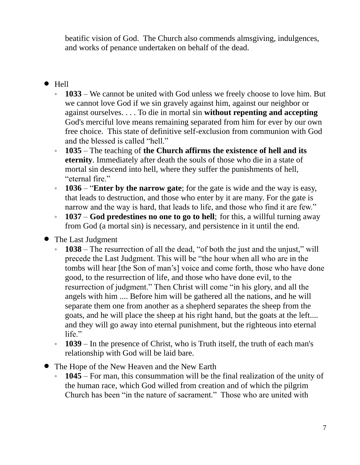beatific vision of God. The Church also commends almsgiving, indulgences, and works of penance undertaken on behalf of the dead.

### • Hell

- **1033** We cannot be united with God unless we freely choose to love him. But we cannot love God if we sin gravely against him, against our neighbor or against ourselves. . . . To die in mortal sin **without repenting and accepting** God's merciful love means remaining separated from him for ever by our own free choice. This state of definitive self-exclusion from communion with God and the blessed is called "hell."
- **1035** The teaching of **the Church affirms the existence of hell and its eternity**. Immediately after death the souls of those who die in a state of mortal sin descend into hell, where they suffer the punishments of hell, "eternal fire."
- **1036** "**Enter by the narrow gate**; for the gate is wide and the way is easy, that leads to destruction, and those who enter by it are many. For the gate is narrow and the way is hard, that leads to life, and those who find it are few."
- **1037 God predestines no one to go to hell**; for this, a willful turning away from God (a mortal sin) is necessary, and persistence in it until the end.
- The Last Judgment
	- **1038** The resurrection of all the dead, "of both the just and the unjust," will precede the Last Judgment. This will be "the hour when all who are in the tombs will hear [the Son of man's] voice and come forth, those who have done good, to the resurrection of life, and those who have done evil, to the resurrection of judgment." Then Christ will come "in his glory, and all the angels with him .... Before him will be gathered all the nations, and he will separate them one from another as a shepherd separates the sheep from the goats, and he will place the sheep at his right hand, but the goats at the left.... and they will go away into eternal punishment, but the righteous into eternal life."
	- **1039** In the presence of Christ, who is Truth itself, the truth of each man's relationship with God will be laid bare.
- The Hope of the New Heaven and the New Earth
	- **1045** For man, this consummation will be the final realization of the unity of the human race, which God willed from creation and of which the pilgrim Church has been "in the nature of sacrament." Those who are united with